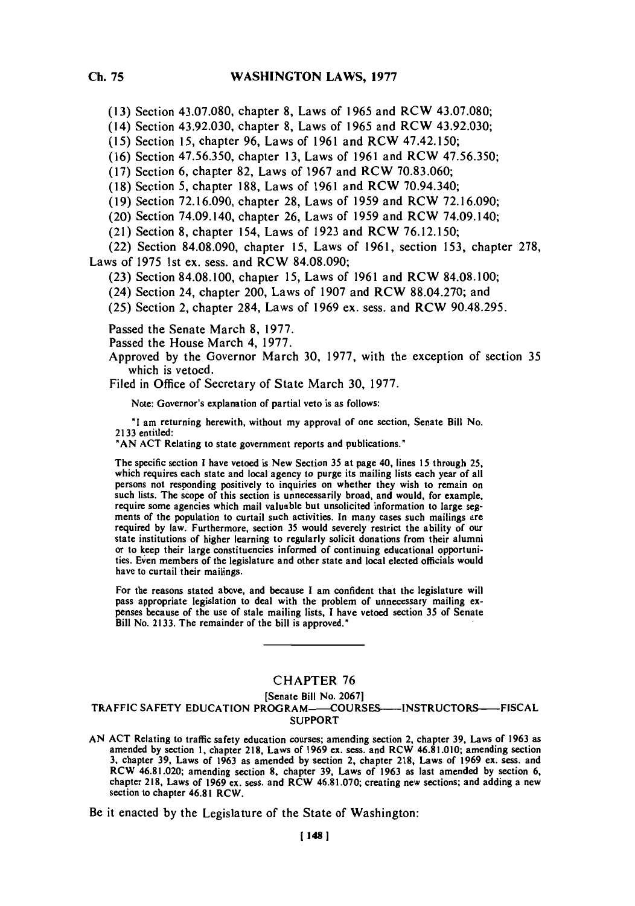**(13)** Section **43.07.080,** chapter **8,** Laws of *1965* and RCW **43.07.080;**

(14) Section 43.92.030, chapter **8,** Laws of **1965** and RCW 43.92.030;

**(15)** Section **15,** chapter **96,** Laws of **1961** and RCW 47.42.150;

**(16)** Section **47.56.350,** chapter **13,** Laws of **1961** and RCW **47.56.350;**

**(17)** Section **6,** chapter **82,** Laws of **1967** and RCW **70.83.060;**

**(18)** Section **5,** chapter **188,** Laws of **1961** and RCW 70.94.340;

**(19)** Section **72.16.090,** chapter **28,** Laws of **1959** and RCW **72.16.090;**

(20) Section 74.09.140, chapter **26,** Laws of **1959** and RCW 74.09.140;

(21) Section **8,** chapter 154, Laws of **1923** and RCW **76.12.150;**

(22) Section **84.08.090,** chapter **15,** Laws of **1961,** section **153,** chapter **278,** Laws of **1975** 1st ex. sess. and RCW **84.08.090;**

**(23)** Section **84.08. 100,** chapter **15,** Laws of **1961** and RCW **84.08. 100;**

(24) Section 24, chapter 200, Laws of **1907** and RCW **88.04.270;** and

**(25)** Section 2, chapter 284, Laws of **1969** ex. sess. and RCW **90.48.295.**

Passed the Senate March **8, 1977.**

Passed the House March 4, **1977.**

Approved **by** the Governor March **30, 1977,** with the exception of section **35** which is vetoed.

Filed in Office of Secretary of State March **30, 1977.**

Note: Governor's explanation of partial veto is as follows:

**"I** am returning herewith, without my approval of one section, Senate Bill No. **2133** entitled:

**"AN ACT** Relating to state government reports and publications.'

The specific section 1 have vetoed is New Section **35** at page 40, lines **15** through **25,** which requires each state and local agency to purge its mailing lists each year of all persons not responding positively to inquiries on whether they wish to remain on such lists. The scope of this section is unnecessarily broad, and would, for example, require some agencies which mail valuable but unsolicited information to large segments of the population to curtail such activities. In many cases such mailings are required by law. Furthermore, section 35 would severely restrict the ability of our state institutions of higher learning to regularly sol or to keep their large constituencies informed of continuing educational opportunities. Even members of the legislature and other state and local elected officials would have to curtail their mailings.

For the reasons stated above, and because **I** am confident that the legislature will pass appropriate legislation to deal with the problem of unnecessary mailing ex- penses because of the use of stale mailing lists, **I** have vetoed section **35** of Senate Bill No. **2133.** The remainder of the bill is approved."

## **CHAPTER 76**

## [Senate Bill No. **2067]** TRAFFIC SAFETY **EDUCATION** PROGRAM--COURSES-INSTRUCTOR5---FISCAL SUPPORT

AN ACT Relating to traffic safety education courses; amending section 2, chapter 39, Laws of 1963 as amended by section 1, chapter 218, Laws of 1969 ex. sess. and RCW 46.81.010; amending section **3,** chapter **39,** Laws of **1963** as amended **by** section 2, chapter **218,** Laws of **1969** ex. seas, and RCW 46.81.020: amending section **8,** chapter **39,** Laws of **1963** as last amended **by** section **6,** chapter **218,** Laws of **1969** ex. sess. and RCW **46.8 1.070;** creating new sections; and adding a new section to chapter 46.81 RCW.

Be it enacted **by** the Legislature of the State of Washington: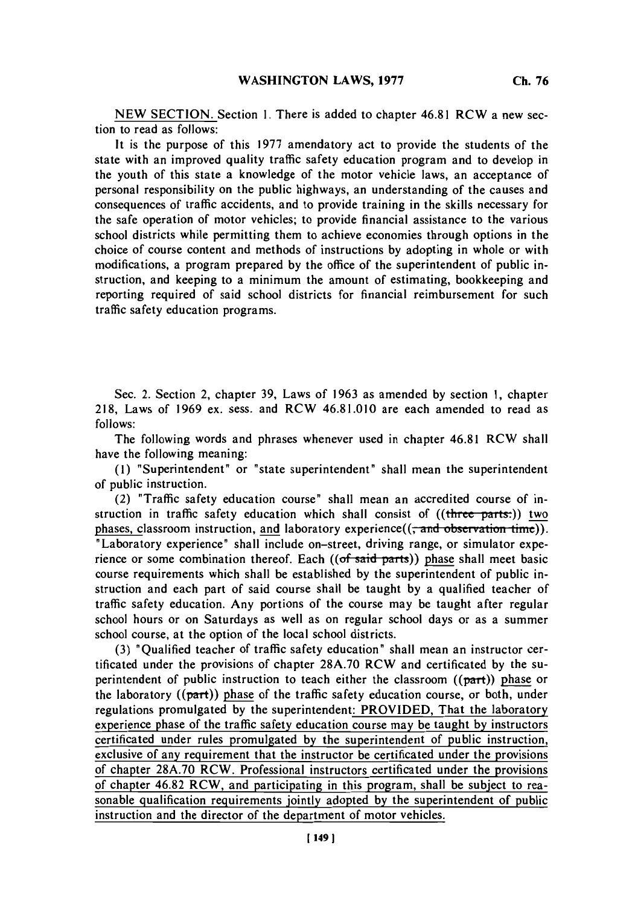**NEW SECTION.** Section **1.** There is added to chapter 46.81 RCW a new section to read as follows:

It is the purpose of this **1977** amendatory act to provide the students of the state with an improved quality traffic safety education program and to develop in the youth of this state a knowledge of the motor vehicle laws, an acceptance of personal responsibility on the public highways, an understanding of the causes and consequences of traffic accidents, and to provide training in the skills necessary for the safe operation of motor vehicles; to provide financial assistance to the various school districts while permitting them to achieve economies through options in the choice of course content and methods of instructions **by** adopting in whole or with modifications, a program prepared **by** the office of the superintendent of public instruction, and keeping to a minimum the amount of estimating, bookkeeping and reporting required of said school districts for financial reimbursement for such traffic safety education programs.

Sec. 2. Section 2, chapter **39,** Laws of **1963** as amended **by** section **1,** chapter **218,** Laws of **1969** ex. sess. and RCW 46.81.010 are each amended to read as *follows:*

The following words and phrases whenever used in chapter 46.81 RCW shall have the following meaning:

**(1)** "Superintendent" or 'state superintendent' shall mean the superintendent of public instruction.

(2) "Traffic safety education course" shall mean an accredited course of instruction in traffic safety education which shall consist of ((three parts.)) two phases, classroom instruction, and laboratory experience((<del>, and observation time</del>)). 'Laboratory experience" shall include on-street, driving range, or simulator experience or some combination thereof. Each  $((of said parts))$  phase shall meet basic course requirements which shall be established **by** the superintendent of public instruction and each part of said course shall be taught **by** a qualified teacher of traffic safety education. Any portions of the course may be taught after regular school hours or on Saturdays as well as on regular school days or as a summer school course, at the option of the local school districts.

**(3)** 'Qualified teacher of traffic safety education' shall mean an instructor certificated under the provisions of chapter **28A.70** RCW and certificated **by** the superintendent of public instruction to teach either the classroom  $((part))$  phase or the laboratory  $((part))$  phase of the traffic safety education course, or both, under regulations promulgated **by** the superintendent: PROVIDED, That the laboratory experience phase of the traffic safety education course may be taught **by** instructors certificated under rules promulgated **by** the superintendent of public instruction, exclusive of any requirement that the instructor be certificated under the provisions of chapter **28A.70** RCW. Professional instructors certificated under the provisions of chapter 46.82 RCW, and participating in this program, shall be subject to reasonable qualification requirements jointly adopted **by** the superintendent of public instruction and the director of the department of motor vehicles.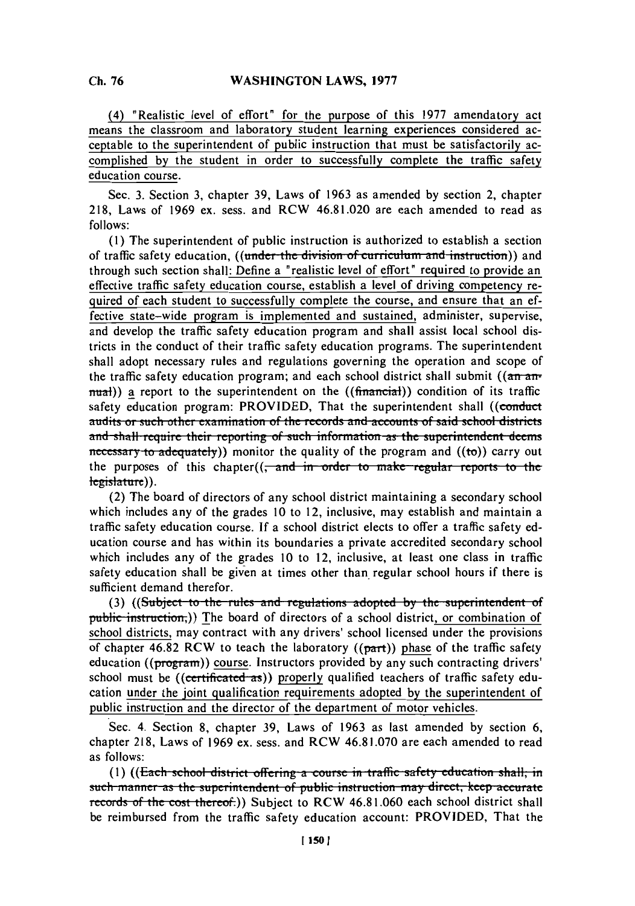(4) 'Realistic level of effort" for the purpose of this **1977** amendatory act means the classroom and laboratory student learning experiences considered acceptable to the superintendent of public instruction that must be satisfactorily accomplished **by** the student in order to successfully complete the traffic safety education course.

Sec. **3.** Section **3,** chapter **39,** Laws of **1963** as amended **by** section 2, chapter **218,** Laws of **1969** ex. sess. and RCW 46.81.020 are each amended to read as **follows:**

**(1)** The superintendent of public instruction is authorized to establish a section of traffic safety education, ((under the division of curriculum and instruction)) and through such section shall,: Define a "realistic level of effort" required to provide an effective traffic safety education course, establish a level of driving competency required of each student to successfully complete the course, and ensure that an effective state-wide program is implemented and sustained, administer, supervise, and develop the traffic safety education program and shall assist local school districts in the conduct of their traffic safety education programs. The superintendent shall adopt necessary rules and regulations governing the operation and scope of the traffic safety education program; and each school district shall submit (( $\overline{an}$   $\overline{an}$  $m$ ual)) a report to the superintendent on the  $((\text{finarci})\text{)}$  condition of its traffic safety education program: PROVIDED, That the superintendent shall ((conduct **audits or such other examination of the records and accounts of said school districts** and shall require their reporting of such information as the superintendent deems **a** accessary to adequately) monitor the quality of the program and ((to)) carry out the purposes of this chapter((<del>, and in order to make regular reports to the</del> legislature)).

(2) The board of directors of any school district maintaining a secondary school which includes any of the grades **10** to 12, inclusive, may establish and maintain a traffic safety education course. **If** a school district elects to offer a traffic safety education course and has within its boundaries a private accredited secondary school which includes any of the grades **10** to 12, inclusive, at least one class in traffic safety education shall be given at times other than regular school hours if there is sufficient demand therefor.

**(3) ((Subject to the rules and regulations adopted by the superintendent of** public instruction,)) The board of directors of a school district, or combination of school districts, may contract with any drivers' school licensed under the provisions of chapter 46.82 RCW to teach the laboratory  $((part))$  phase of the traffic safety education ((program)) course. Instructors provided **by** any such contracting drivers' school must be  $((\text{certimated as}))$  properly qualified teachers of traffic safety education under the joint qualification requirements adopted **by** the superintendent of public instruction and the director of the department of motor vehicles.

Sec. 4. Section **8,** chapter **39,** Laws of **1963** as last amended **by** section **6,** chapter **218,** Laws of **1969** ex. sess. and RCW **46.81.070** are each amended to read as follows:

**(1) ((Each school district offering a course in traffic safety education shall, in such manner as the superintendent of public instruction may direct, keep accurate.** records of the cost thereof.)) Subject to RCW 46.81.060 each school district shall be reimbursed from the traffic safety education account: PROVIDED, That the